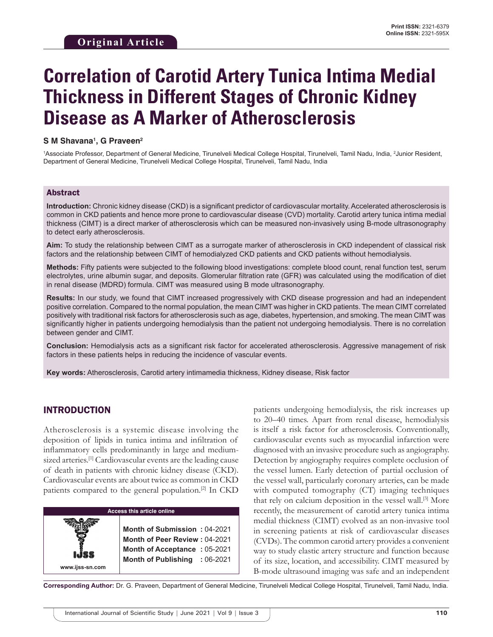# **Correlation of Carotid Artery Tunica Intima Medial Thickness in Different Stages of Chronic Kidney Disease as A Marker of Atherosclerosis**

#### **S M Shavana1 , G Praveen2**

<sup>1</sup>Associate Professor, Department of General Medicine, Tirunelveli Medical College Hospital, Tirunelveli, Tamil Nadu, India, <sup>2</sup>Junior Resident, Department of General Medicine, Tirunelveli Medical College Hospital, Tirunelveli, Tamil Nadu, India

#### Abstract

**Introduction:** Chronic kidney disease (CKD) is a significant predictor of cardiovascular mortality. Accelerated atherosclerosis is common in CKD patients and hence more prone to cardiovascular disease (CVD) mortality. Carotid artery tunica intima medial thickness (CIMT) is a direct marker of atherosclerosis which can be measured non-invasively using B-mode ultrasonography to detect early atherosclerosis.

**Aim:** To study the relationship between CIMT as a surrogate marker of atherosclerosis in CKD independent of classical risk factors and the relationship between CIMT of hemodialyzed CKD patients and CKD patients without hemodialysis.

**Methods:** Fifty patients were subjected to the following blood investigations: complete blood count, renal function test, serum electrolytes, urine albumin sugar, and deposits. Glomerular filtration rate (GFR) was calculated using the modification of diet in renal disease (MDRD) formula. CIMT was measured using B mode ultrasonography.

**Results:** In our study, we found that CIMT increased progressively with CKD disease progression and had an independent positive correlation. Compared to the normal population, the mean CIMT was higher in CKD patients. The mean CIMT correlated positively with traditional risk factors for atherosclerosis such as age, diabetes, hypertension, and smoking. The mean CIMT was significantly higher in patients undergoing hemodialysis than the patient not undergoing hemodialysis. There is no correlation between gender and CIMT.

**Conclusion:** Hemodialysis acts as a significant risk factor for accelerated atherosclerosis. Aggressive management of risk factors in these patients helps in reducing the incidence of vascular events.

**Key words:** Atherosclerosis, Carotid artery intimamedia thickness, Kidney disease, Risk factor

#### INTRODUCTION

**www.ijss-sn.com**

Atherosclerosis is a systemic disease involving the deposition of lipids in tunica intima and infiltration of inflammatory cells predominantly in large and mediumsized arteries.<sup>[1]</sup> Cardiovascular events are the leading cause of death in patients with chronic kidney disease (CKD). Cardiovascular events are about twice as common in CKD patients compared to the general population.[2] In CKD

**Access this article online**

**Month of Submission :** 04-2021 **Month of Peer Review :** 04-2021 **Month of Acceptance :** 05-2021 **Month of Publishing :** 06-2021

patients undergoing hemodialysis, the risk increases up to 20–40 times. Apart from renal disease, hemodialysis is itself a risk factor for atherosclerosis. Conventionally, cardiovascular events such as myocardial infarction were diagnosed with an invasive procedure such as angiography. Detection by angiography requires complete occlusion of the vessel lumen. Early detection of partial occlusion of the vessel wall, particularly coronary arteries, can be made with computed tomography (CT) imaging techniques that rely on calcium deposition in the vessel wall.[3] More recently, the measurement of carotid artery tunica intima medial thickness (CIMT) evolved as an non-invasive tool in screening patients at risk of cardiovascular diseases (CVDs). The common carotid artery provides a convenient way to study elastic artery structure and function because of its size, location, and accessibility. CIMT measured by B-mode ultrasound imaging was safe and an independent

**Corresponding Author:** Dr. G. Praveen, Department of General Medicine, Tirunelveli Medical College Hospital, Tirunelveli, Tamil Nadu, India.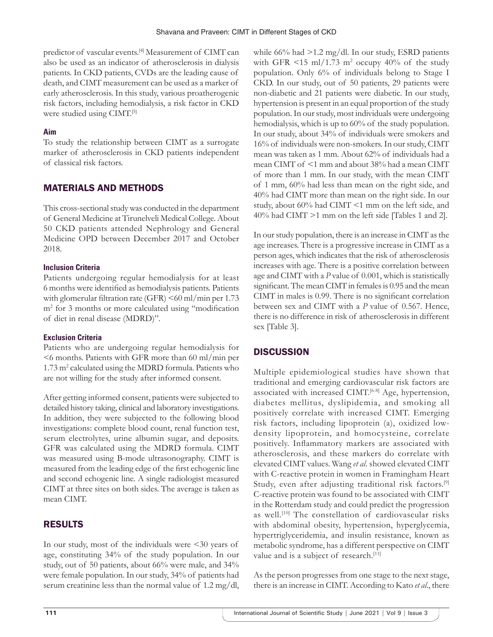predictor of vascular events.[4] Measurement of CIMT can also be used as an indicator of atherosclerosis in dialysis patients. In CKD patients, CVDs are the leading cause of death, and CIMT measurement can be used as a marker of early atherosclerosis. In this study, various proatherogenic risk factors, including hemodialysis, a risk factor in CKD were studied using CIMT.[5]

## **Aim**

To study the relationship between CIMT as a surrogate marker of atherosclerosis in CKD patients independent of classical risk factors.

## MATERIALS AND METHODS

This cross-sectional study was conducted in the department of General Medicine at Tirunelveli Medical College. About 50 CKD patients attended Nephrology and General Medicine OPD between December 2017 and October 2018.

#### **Inclusion Criteria**

Patients undergoing regular hemodialysis for at least 6 months were identified as hemodialysis patients. Patients with glomerular filtration rate (GFR) <60 ml/min per 1.73 m2 for 3 months or more calculated using "modification of diet in renal disease (MDRD)".

### **Exclusion Criteria**

Patients who are undergoing regular hemodialysis for <6 months. Patients with GFR more than 60 ml/min per 1.73 m<sup>2</sup> calculated using the MDRD formula. Patients who are not willing for the study after informed consent.

After getting informed consent, patients were subjected to detailed history taking, clinical and laboratory investigations. In addition, they were subjected to the following blood investigations: complete blood count, renal function test, serum electrolytes, urine albumin sugar, and deposits. GFR was calculated using the MDRD formula. CIMT was measured using B-mode ultrasonography. CIMT is measured from the leading edge of the first echogenic line and second echogenic line. A single radiologist measured CIMT at three sites on both sides. The average is taken as mean CIMT.

# RESULTS

In our study, most of the individuals were <30 years of age, constituting 34% of the study population. In our study, out of 50 patients, about 66% were male, and 34% were female population. In our study, 34% of patients had serum creatinine less than the normal value of 1.2 mg/dl,

while 66% had >1.2 mg/dl. In our study, ESRD patients with GFR  $\leq$ 15 ml/1.73 m<sup>2</sup> occupy 40% of the study population. Only 6% of individuals belong to Stage I CKD. In our study, out of 50 patients, 29 patients were non-diabetic and 21 patients were diabetic. In our study, hypertension is present in an equal proportion of the study population. In our study, most individuals were undergoing hemodialysis, which is up to 60% of the study population. In our study, about 34% of individuals were smokers and 16% of individuals were non-smokers. In our study, CIMT mean was taken as 1 mm. About 62% of individuals had a mean CIMT of <1 mm and about 38% had a mean CIMT of more than 1 mm. In our study, with the mean CIMT of 1 mm, 60% had less than mean on the right side, and 40% had CIMT more than mean on the right side. In our study, about 60% had CIMT <1 mm on the left side, and 40% had CIMT >1 mm on the left side [Tables 1 and 2].

In our study population, there is an increase in CIMT as the age increases. There is a progressive increase in CIMT as a person ages, which indicates that the risk of atherosclerosis increases with age. There is a positive correlation between age and CIMT with a *P* value of 0.001, which is statistically significant. The mean CIMT in females is 0.95 and the mean CIMT in males is 0.99. There is no significant correlation between sex and CIMT with a *P* value of 0.567. Hence, there is no difference in risk of atherosclerosis in different sex [Table 3].

# **DISCUSSION**

Multiple epidemiological studies have shown that traditional and emerging cardiovascular risk factors are associated with increased CIMT.<sup>[6-8]</sup> Age, hypertension, diabetes mellitus, dyslipidemia, and smoking all positively correlate with increased CIMT. Emerging risk factors, including lipoprotein (a), oxidized lowdensity lipoprotein, and homocysteine, correlate positively. Inflammatory markers are associated with atherosclerosis, and these markers do correlate with elevated CIMT values. Wang *et al*. showed elevated CIMT with C-reactive protein in women in Framingham Heart Study, even after adjusting traditional risk factors.<sup>[9]</sup> C-reactive protein was found to be associated with CIMT in the Rotterdam study and could predict the progression as well.<sup>[10]</sup> The constellation of cardiovascular risks with abdominal obesity, hypertension, hyperglycemia, hypertriglyceridemia, and insulin resistance, known as metabolic syndrome, has a different perspective on CIMT value and is a subject of research.<sup>[11]</sup>

As the person progresses from one stage to the next stage, there is an increase in CIMT. According to Kato *et al*., there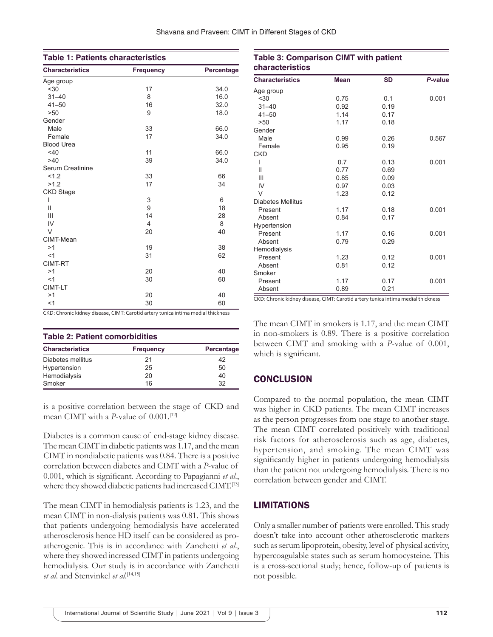| <b>Table 1: Patients characteristics</b> |                  |            |  |  |
|------------------------------------------|------------------|------------|--|--|
| <b>Characteristics</b>                   | <b>Frequency</b> | Percentage |  |  |
| Age group                                |                  |            |  |  |
| < 30                                     | 17               | 34.0       |  |  |
| $31 - 40$                                | 8                | 16.0       |  |  |
| $41 - 50$                                | 16               | 32.0       |  |  |
| >50                                      | 9                | 18.0       |  |  |
| Gender                                   |                  |            |  |  |
| Male                                     | 33               | 66.0       |  |  |
| Female                                   | 17               | 34.0       |  |  |
| <b>Blood Urea</b>                        |                  |            |  |  |
| $<$ 40                                   | 11               | 66.0       |  |  |
| >40                                      | 39               | 34.0       |  |  |
| Serum Creatinine                         |                  |            |  |  |
| 1.2                                      | 33               | 66         |  |  |
| >1.2                                     | 17               | 34         |  |  |
| <b>CKD Stage</b>                         |                  |            |  |  |
| ı                                        | 3                | 6          |  |  |
| Ш                                        | 9                | 18         |  |  |
| Ш                                        | 14               | 28         |  |  |
| IV                                       | 4                | 8          |  |  |
| $\vee$                                   | 20               | 40         |  |  |
| CIMT-Mean                                |                  |            |  |  |
| >1                                       | 19               | 38         |  |  |
| <1                                       | 31               | 62         |  |  |
| CIMT-RT                                  |                  |            |  |  |
| >1                                       | 20               | 40         |  |  |
| <1                                       | 30               | 60         |  |  |
| CIMT-LT                                  |                  |            |  |  |
| >1                                       | 20               | 40         |  |  |
| <1                                       | 30               | 60         |  |  |

CKD: Chronic kidney disease, CIMT: Carotid artery tunica intima medial thickness

| <b>Table 2: Patient comorbidities</b> |                  |            |  |  |
|---------------------------------------|------------------|------------|--|--|
| <b>Characteristics</b>                | <b>Frequency</b> | Percentage |  |  |
| Diabetes mellitus                     | 21               | 42         |  |  |
| Hypertension                          | 25               | 50         |  |  |
| Hemodialysis                          | 20               | 40         |  |  |
| Smoker                                | 16               | 32         |  |  |

is a positive correlation between the stage of CKD and mean CIMT with a *P*-value of 0.001.[12]

Diabetes is a common cause of end-stage kidney disease. The mean CIMT in diabetic patients was 1.17, and the mean CIMT in nondiabetic patients was 0.84. There is a positive correlation between diabetes and CIMT with a *P*-value of 0.001, which is significant. According to Papagianni *et al*., where they showed diabetic patients had increased CIMT.<sup>[13]</sup>

The mean CIMT in hemodialysis patients is 1.23, and the mean CIMT in non-dialysis patients was 0.81. This shows that patients undergoing hemodialysis have accelerated atherosclerosis hence HD itself can be considered as proatherogenic. This is in accordance with Zanchetti *et al*., where they showed increased CIMT in patients undergoing hemodialysis. Our study is in accordance with Zanchetti *et al*. and Stenvinkel *et al*. [14,15]

| characteristics        |             |           |         |  |
|------------------------|-------------|-----------|---------|--|
| <b>Characteristics</b> | <b>Mean</b> | <b>SD</b> | P-value |  |
| Age group              |             |           |         |  |
| $30$                   | 0.75        | 0.1       | 0.001   |  |
| $31 - 40$              | 0.92        | 0.19      |         |  |
| $41 - 50$              | 1.14        | 0.17      |         |  |
| >50                    | 1.17        | 0.18      |         |  |
| Gender                 |             |           |         |  |
| Male                   | 0.99        | 0.26      | 0.567   |  |
| Female                 | 0.95        | 0.19      |         |  |
| <b>CKD</b>             |             |           |         |  |
| ı                      | 0.7         | 0.13      | 0.001   |  |
| $\mathsf{II}$          | 0.77        | 0.69      |         |  |
| Ш                      | 0.85        | 0.09      |         |  |
| IV                     | 0.97        | 0.03      |         |  |
| $\vee$                 | 1.23        | 0.12      |         |  |
| Diabetes Mellitus      |             |           |         |  |
| Present                | 1.17        | 0.18      | 0.001   |  |
| Absent                 | 0.84        | 0.17      |         |  |
| Hypertension           |             |           |         |  |
| Present                | 1.17        | 0.16      | 0.001   |  |
| Absent                 | 0.79        | 0.29      |         |  |
| Hemodialysis           |             |           |         |  |
| Present                | 1.23        | 0.12      | 0.001   |  |
| Absent                 | 0.81        | 0.12      |         |  |
| Smoker                 |             |           |         |  |
| Present                | 1.17        | 0.17      | 0.001   |  |
| Absent                 | 0.89        | 0.21      |         |  |

**Table 3: Comparison CIMT with patient** 

CKD: Chronic kidney disease, CIMT: Carotid artery tunica intima medial thickness

The mean CIMT in smokers is 1.17, and the mean CIMT in non-smokers is 0.89. There is a positive correlation between CIMT and smoking with a *P*-value of 0.001, which is significant.

### **CONCLUSION**

Compared to the normal population, the mean CIMT was higher in CKD patients. The mean CIMT increases as the person progresses from one stage to another stage. The mean CIMT correlated positively with traditional risk factors for atherosclerosis such as age, diabetes, hypertension, and smoking. The mean CIMT was significantly higher in patients undergoing hemodialysis than the patient not undergoing hemodialysis. There is no correlation between gender and CIMT.

### LIMITATIONS

Only a smaller number of patients were enrolled. This study doesn't take into account other atherosclerotic markers such as serum lipoprotein, obesity, level of physical activity, hypercoagulable states such as serum homocysteine. This is a cross-sectional study; hence, follow-up of patients is not possible.